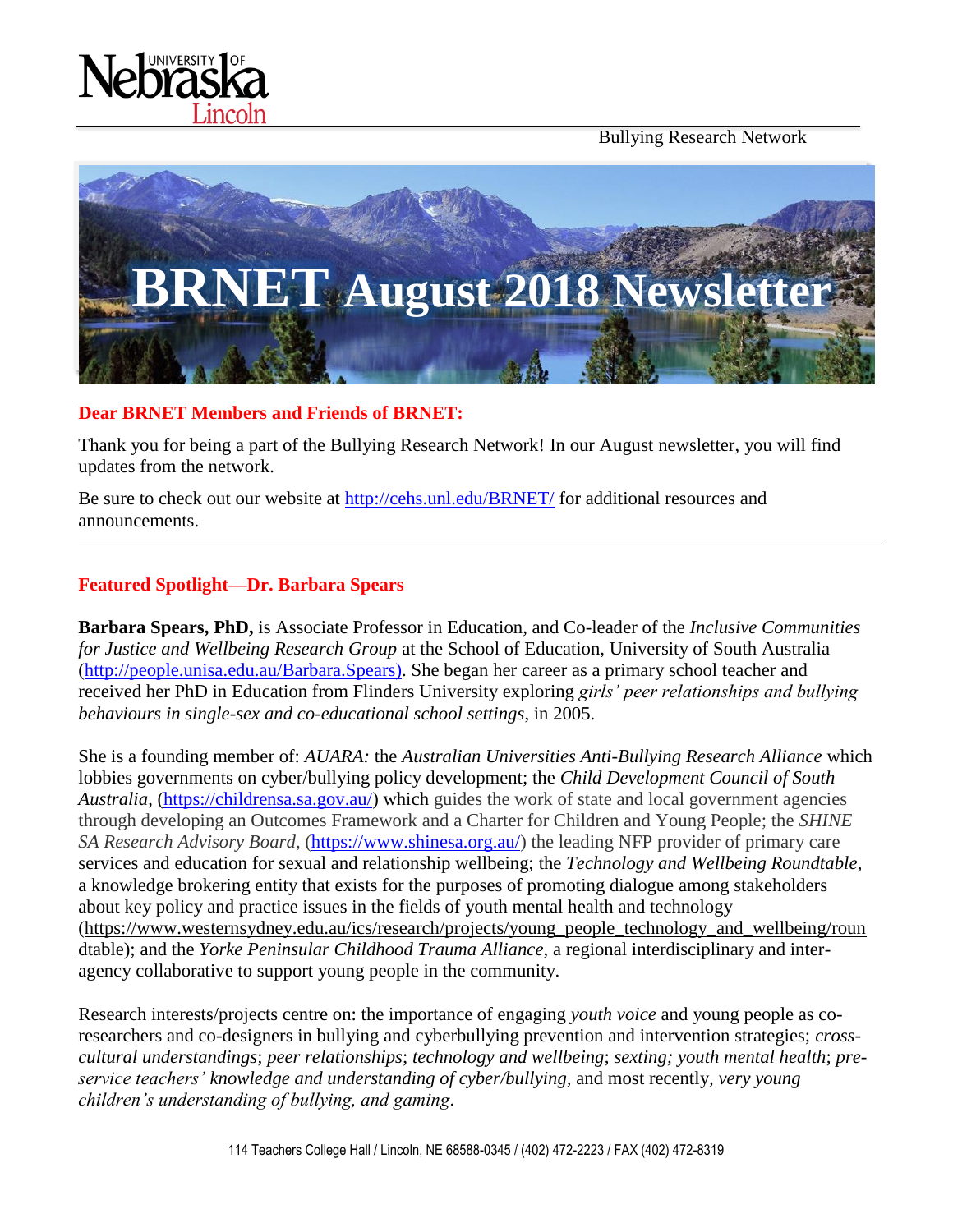Bullying Research Network





#### **Dear BRNET Members and Friends of BRNET:**

Thank you for being a part of the Bullying Research Network! In our August newsletter, you will find updates from the network.

Be sure to check out our website at<http://cehs.unl.edu/BRNET/> for additional resources and announcements.

#### **Featured Spotlight—Dr. Barbara Spears**

**Barbara Spears, PhD,** is Associate Professor in Education, and Co-leader of the *Inclusive Communities for Justice and Wellbeing Research Group* at the School of Education, University of South Australia [\(http://people.unisa.edu.au/Barbara.Spears\)](http://people.unisa.edu.au/Barbara.Spears). She began her career as a primary school teacher and received her PhD in Education from Flinders University exploring *girls' peer relationships and bullying behaviours in single-sex and co-educational school settings*, in 2005.

She is a founding member of: *AUARA:* the *Australian Universities Anti-Bullying Research Alliance* which lobbies governments on cyber/bullying policy development; the *Child Development Council of South Australia*, [\(https://childrensa.sa.gov.au/\)](https://childrensa.sa.gov.au/) which guides the work of state and local government agencies through developing an Outcomes Framework and a Charter for Children and Young People; the *SHINE SA Research Advisory Board*, [\(https://www.shinesa.org.au/\)](https://www.shinesa.org.au/) the leading NFP provider of primary care services and education for sexual and relationship wellbeing; the *Technology and Wellbeing Roundtable*, a knowledge brokering entity that exists for the purposes of promoting dialogue among stakeholders about key policy and practice issues in the fields of youth mental health and technology [\(https://www.westernsydney.edu.au/ics/research/projects/young\\_people\\_technology\\_and\\_wellbeing/roun](https://www.westernsydney.edu.au/ics/research/projects/young_people_technology_and_wellbeing/roundtable) [dtable\)](https://www.westernsydney.edu.au/ics/research/projects/young_people_technology_and_wellbeing/roundtable); and the *Yorke Peninsular Childhood Trauma Alliance*, a regional interdisciplinary and interagency collaborative to support young people in the community.

Research interests/projects centre on: the importance of engaging *youth voice* and young people as coresearchers and co-designers in bullying and cyberbullying prevention and intervention strategies; *crosscultural understandings*; *peer relationships*; *technology and wellbeing*; *sexting; youth mental health*; *preservice teachers' knowledge and understanding of cyber/bullying,* and most recently*, very young children's understanding of bullying, and gaming*.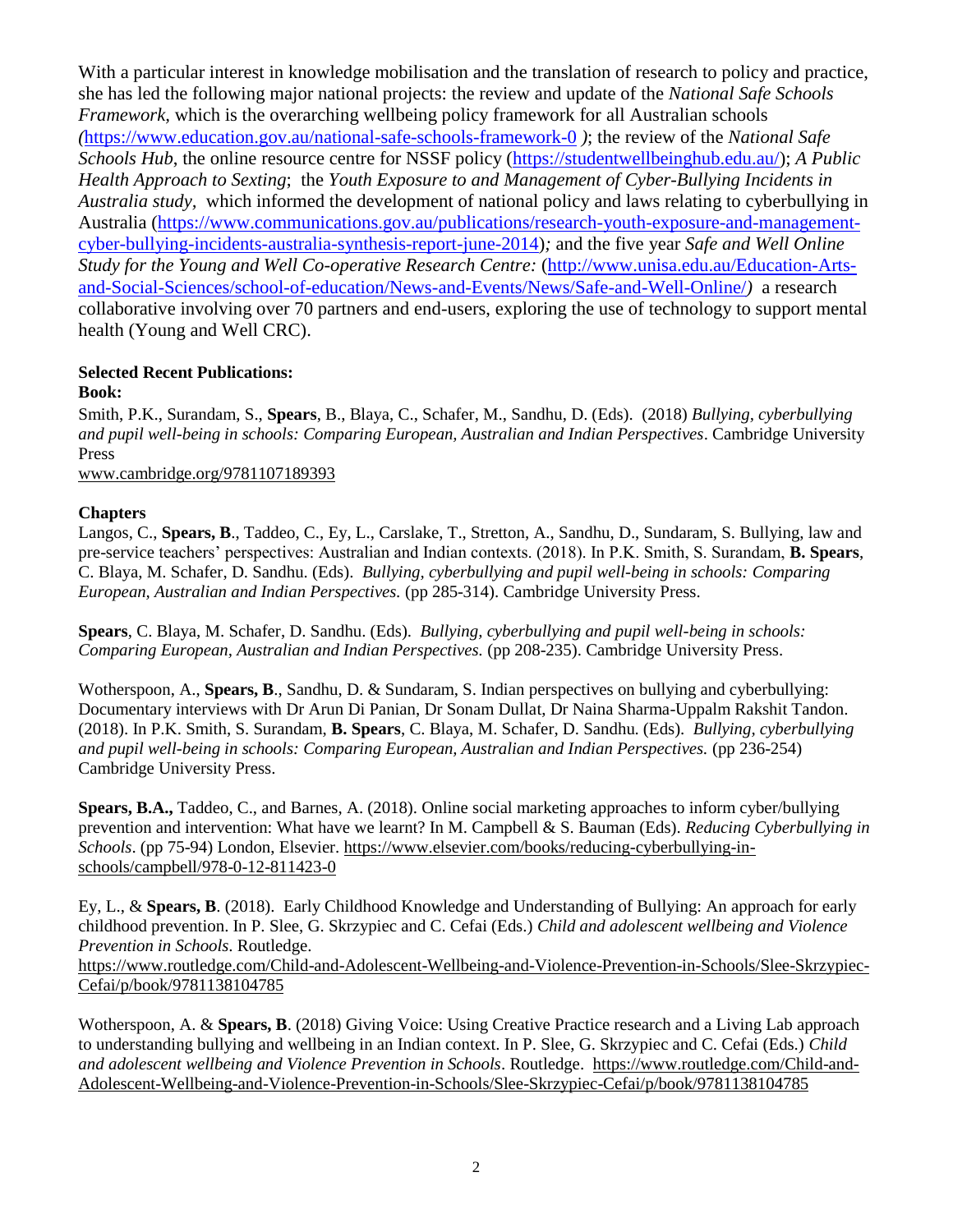With a particular interest in knowledge mobilisation and the translation of research to policy and practice, she has led the following major national projects: the review and update of the *National Safe Schools Framework,* which is the overarching wellbeing policy framework for all Australian schools *(*<https://www.education.gov.au/national-safe-schools-framework-0> *)*; the review of the *National Safe Schools Hub*, the online resource centre for NSSF policy [\(https://studentwellbeinghub.edu.au/\)](https://studentwellbeinghub.edu.au/); *A Public Health Approach to Sexting*; the *Youth Exposure to and Management of Cyber-Bullying Incidents in Australia study,* which informed the development of national policy and laws relating to cyberbullying in Australia [\(https://www.communications.gov.au/publications/research-youth-exposure-and-management](https://www.communications.gov.au/publications/research-youth-exposure-and-management-cyber-bullying-incidents-australia-synthesis-report-june-2014)[cyber-bullying-incidents-australia-synthesis-report-june-2014\)](https://www.communications.gov.au/publications/research-youth-exposure-and-management-cyber-bullying-incidents-australia-synthesis-report-june-2014)*;* and the five year *Safe and Well Online Study for the Young and Well Co-operative Research Centre:* [\(http://www.unisa.edu.au/Education-Arts](http://www.unisa.edu.au/Education-Arts-and-Social-Sciences/school-of-education/News-and-Events/News/Safe-and-Well-Online/)[and-Social-Sciences/school-of-education/News-and-Events/News/Safe-and-Well-Online/](http://www.unisa.edu.au/Education-Arts-and-Social-Sciences/school-of-education/News-and-Events/News/Safe-and-Well-Online/)*)* a research collaborative involving over 70 partners and end-users, exploring the use of technology to support mental health (Young and Well CRC).

#### **Selected Recent Publications: Book:**

Smith, P.K., Surandam, S., **Spears**, B., Blaya, C., Schafer, M., Sandhu, D. (Eds). (2018) *Bullying, cyberbullying and pupil well-being in schools: Comparing European, Australian and Indian Perspectives*. Cambridge University Press

[www.cambridge.org/9781107189393](http://www.cambridge.org/9781107189393)

#### **Chapters**

Langos, C., **Spears, B**., Taddeo, C., Ey, L., Carslake, T., Stretton, A., Sandhu, D., Sundaram, S. Bullying, law and pre-service teachers' perspectives: Australian and Indian contexts. (2018). In P.K. Smith, S. Surandam, **B. Spears**, C. Blaya, M. Schafer, D. Sandhu. (Eds). *Bullying, cyberbullying and pupil well-being in schools: Comparing European, Australian and Indian Perspectives.* (pp 285-314). Cambridge University Press.

**Spears**, C. Blaya, M. Schafer, D. Sandhu. (Eds). *Bullying, cyberbullying and pupil well-being in schools: Comparing European, Australian and Indian Perspectives.* (pp 208-235). Cambridge University Press.

Wotherspoon, A., **Spears, B.**, Sandhu, D. & Sundaram, S. Indian perspectives on bullying and cyberbullying: Documentary interviews with Dr Arun Di Panian, Dr Sonam Dullat, Dr Naina Sharma-Uppalm Rakshit Tandon. (2018). In P.K. Smith, S. Surandam, **B. Spears**, C. Blaya, M. Schafer, D. Sandhu. (Eds). *Bullying, cyberbullying and pupil well-being in schools: Comparing European, Australian and Indian Perspectives.* (pp 236-254) Cambridge University Press.

**Spears, B.A.,** Taddeo, C., and Barnes, A. (2018). Online social marketing approaches to inform cyber/bullying prevention and intervention: What have we learnt? In M. Campbell & S. Bauman (Eds). *Reducing Cyberbullying in Schools*. (pp 75-94) London, Elsevier. [https://www.elsevier.com/books/reducing-cyberbullying-in](https://www.elsevier.com/books/reducing-cyberbullying-in-schools/campbell/978-0-12-811423-0)[schools/campbell/978-0-12-811423-0](https://www.elsevier.com/books/reducing-cyberbullying-in-schools/campbell/978-0-12-811423-0)

Ey, L., & **Spears, B**. (2018). Early Childhood Knowledge and Understanding of Bullying: An approach for early childhood prevention. In P. Slee, G. Skrzypiec and C. Cefai (Eds.) *Child and adolescent wellbeing and Violence Prevention in Schools*. Routledge.

[https://www.routledge.com/Child-and-Adolescent-Wellbeing-and-Violence-Prevention-in-Schools/Slee-Skrzypiec-](https://www.routledge.com/Child-and-Adolescent-Wellbeing-and-Violence-Prevention-in-Schools/Slee-Skrzypiec-Cefai/p/book/9781138104785)[Cefai/p/book/9781138104785](https://www.routledge.com/Child-and-Adolescent-Wellbeing-and-Violence-Prevention-in-Schools/Slee-Skrzypiec-Cefai/p/book/9781138104785)

Wotherspoon, A. & **Spears, B**. (2018) Giving Voice: Using Creative Practice research and a Living Lab approach to understanding bullying and wellbeing in an Indian context. In P. Slee, G. Skrzypiec and C. Cefai (Eds.) *Child and adolescent wellbeing and Violence Prevention in Schools*. Routledge. [https://www.routledge.com/Child-and-](https://www.routledge.com/Child-and-Adolescent-Wellbeing-and-Violence-Prevention-in-Schools/Slee-Skrzypiec-Cefai/p/book/9781138104785)[Adolescent-Wellbeing-and-Violence-Prevention-in-Schools/Slee-Skrzypiec-Cefai/p/book/9781138104785](https://www.routledge.com/Child-and-Adolescent-Wellbeing-and-Violence-Prevention-in-Schools/Slee-Skrzypiec-Cefai/p/book/9781138104785)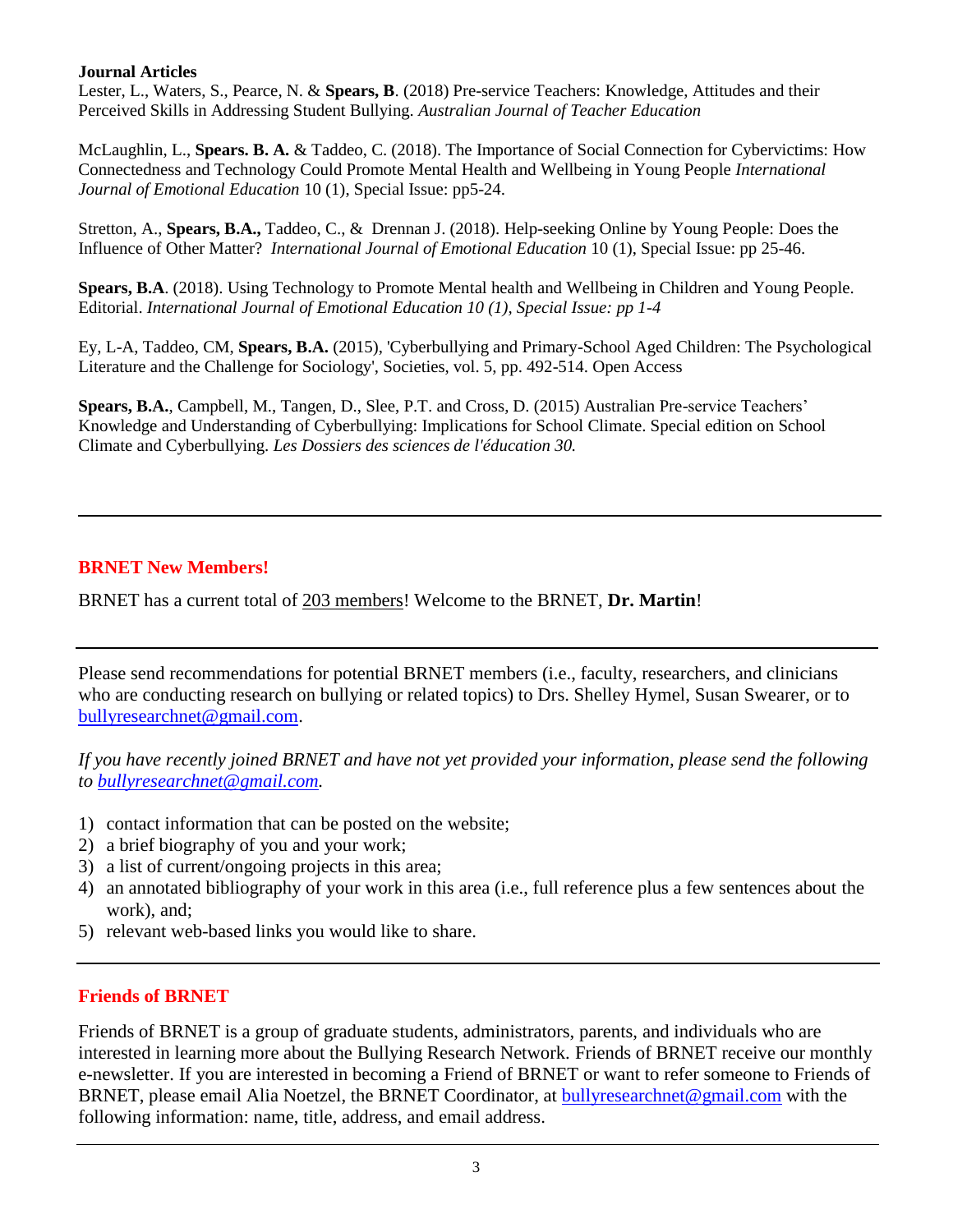#### **Journal Articles**

Lester, L., Waters, S., Pearce, N. & **Spears, B**. (2018) Pre-service Teachers: Knowledge, Attitudes and their Perceived Skills in Addressing Student Bullying. *Australian Journal of Teacher Education*

McLaughlin, L., **Spears. B. A.** & Taddeo, C. (2018). The Importance of Social Connection for Cybervictims: How Connectedness and Technology Could Promote Mental Health and Wellbeing in Young People *International Journal of Emotional Education* 10 (1), Special Issue: pp5-24.

Stretton, A., **Spears, B.A.,** Taddeo, C., & Drennan J. (2018). Help-seeking Online by Young People: Does the Influence of Other Matter? *International Journal of Emotional Education* 10 (1), Special Issue: pp 25-46.

**Spears, B.A**. (2018). Using Technology to Promote Mental health and Wellbeing in Children and Young People. Editorial. *International Journal of Emotional Education 10 (1), Special Issue: pp 1-4*

Ey, L-A, Taddeo, CM, **Spears, B.A.** (2015), 'Cyberbullying and Primary-School Aged Children: The Psychological Literature and the Challenge for Sociology', Societies, vol. 5, pp. 492-514. Open Access

**Spears, B.A.**, Campbell, M., Tangen, D., Slee, P.T. and Cross, D. (2015) Australian Pre-service Teachers' Knowledge and Understanding of Cyberbullying: Implications for School Climate. Special edition on School Climate and Cyberbullying. *Les Dossiers des sciences de l'éducation 30.*

# **BRNET New Members!**

BRNET has a current total of 203 members! Welcome to the BRNET, **Dr. Martin**!

Please send recommendations for potential BRNET members (i.e., faculty, researchers, and clinicians who are conducting research on bullying or related topics) to Drs. Shelley Hymel, Susan Swearer, or to [bullyresearchnet@gmail.com.](mailto:bullyresearchnet@gmail.com)

*If you have recently joined BRNET and have not yet provided your information, please send the following to [bullyresearchnet@gmail.com.](mailto:bullyresearchnet@gmail.com)*

- 1) contact information that can be posted on the website;
- 2) a brief biography of you and your work;
- 3) a list of current/ongoing projects in this area;
- 4) an annotated bibliography of your work in this area (i.e., full reference plus a few sentences about the work), and;
- 5) relevant web-based links you would like to share.

### **Friends of BRNET**

Friends of BRNET is a group of graduate students, administrators, parents, and individuals who are interested in learning more about the Bullying Research Network. Friends of BRNET receive our monthly e-newsletter. If you are interested in becoming a Friend of BRNET or want to refer someone to Friends of BRNET, please email Alia Noetzel, the BRNET Coordinator, at [bullyresearchnet@gmail.com](mailto:bullyresearchnet@gmail.com) with the following information: name, title, address, and email address.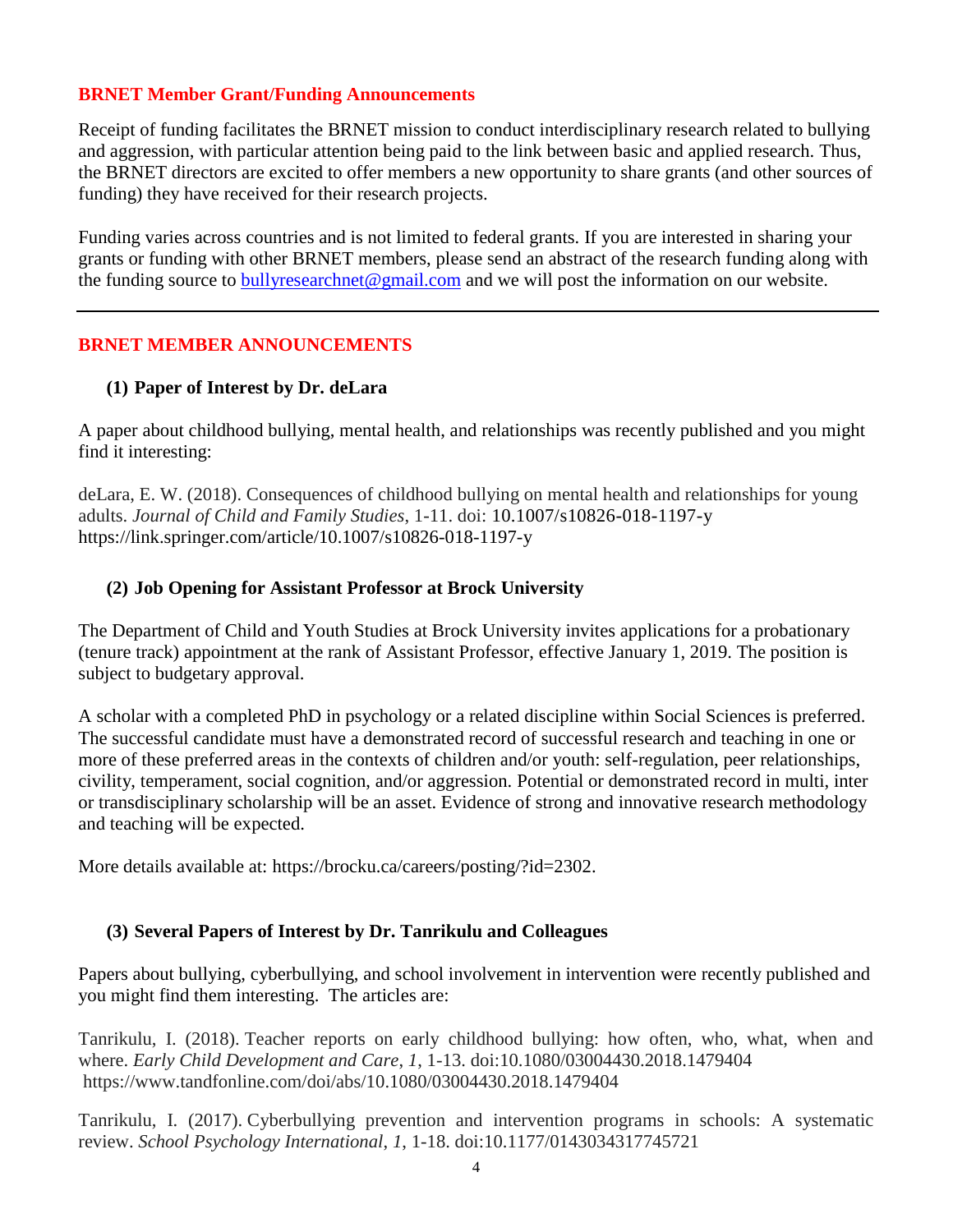# **BRNET Member Grant/Funding Announcements**

Receipt of funding facilitates the BRNET mission to conduct interdisciplinary research related to bullying and aggression, with particular attention being paid to the link between basic and applied research. Thus, the BRNET directors are excited to offer members a new opportunity to share grants (and other sources of funding) they have received for their research projects.

Funding varies across countries and is not limited to federal grants. If you are interested in sharing your grants or funding with other BRNET members, please send an abstract of the research funding along with the funding source to [bullyresearchnet@gmail.com](mailto:bullyresearchnet@gmail.com) and we will post the information on our website.

# **BRNET MEMBER ANNOUNCEMENTS**

# **(1) Paper of Interest by Dr. deLara**

A paper about childhood bullying, mental health, and relationships was recently published and you might find it interesting:

deLara, E. W. (2018). Consequences of childhood bullying on mental health and relationships for young adults. *Journal of Child and Family Studies*, 1-11. doi: 10.1007/s10826-018-1197-y https://link.springer.com/article/10.1007/s10826-018-1197-y

# **(2) Job Opening for Assistant Professor at Brock University**

The Department of Child and Youth Studies at Brock University invites applications for a probationary (tenure track) appointment at the rank of Assistant Professor, effective January 1, 2019. The position is subject to budgetary approval.

A scholar with a completed PhD in psychology or a related discipline within Social Sciences is preferred. The successful candidate must have a demonstrated record of successful research and teaching in one or more of these preferred areas in the contexts of children and/or youth: self-regulation, peer relationships, civility, temperament, social cognition, and/or aggression. Potential or demonstrated record in multi, inter or transdisciplinary scholarship will be an asset. Evidence of strong and innovative research methodology and teaching will be expected.

More details available at: https://brocku.ca/careers/posting/?id=2302.

### **(3) Several Papers of Interest by Dr. Tanrikulu and Colleagues**

Papers about bullying, cyberbullying, and school involvement in intervention were recently published and you might find them interesting. The articles are:

Tanrikulu, I. (2018). Teacher reports on early childhood bullying: how often, who, what, when and where. *Early Child Development and Care*, *1*, 1-13. doi:10.1080/03004430.2018.1479404 https://www.tandfonline.com/doi/abs/10.1080/03004430.2018.1479404

Tanrikulu, I. (2017). Cyberbullying prevention and intervention programs in schools: A systematic review. *School Psychology International*, *1*, 1-18. doi:10.1177/0143034317745721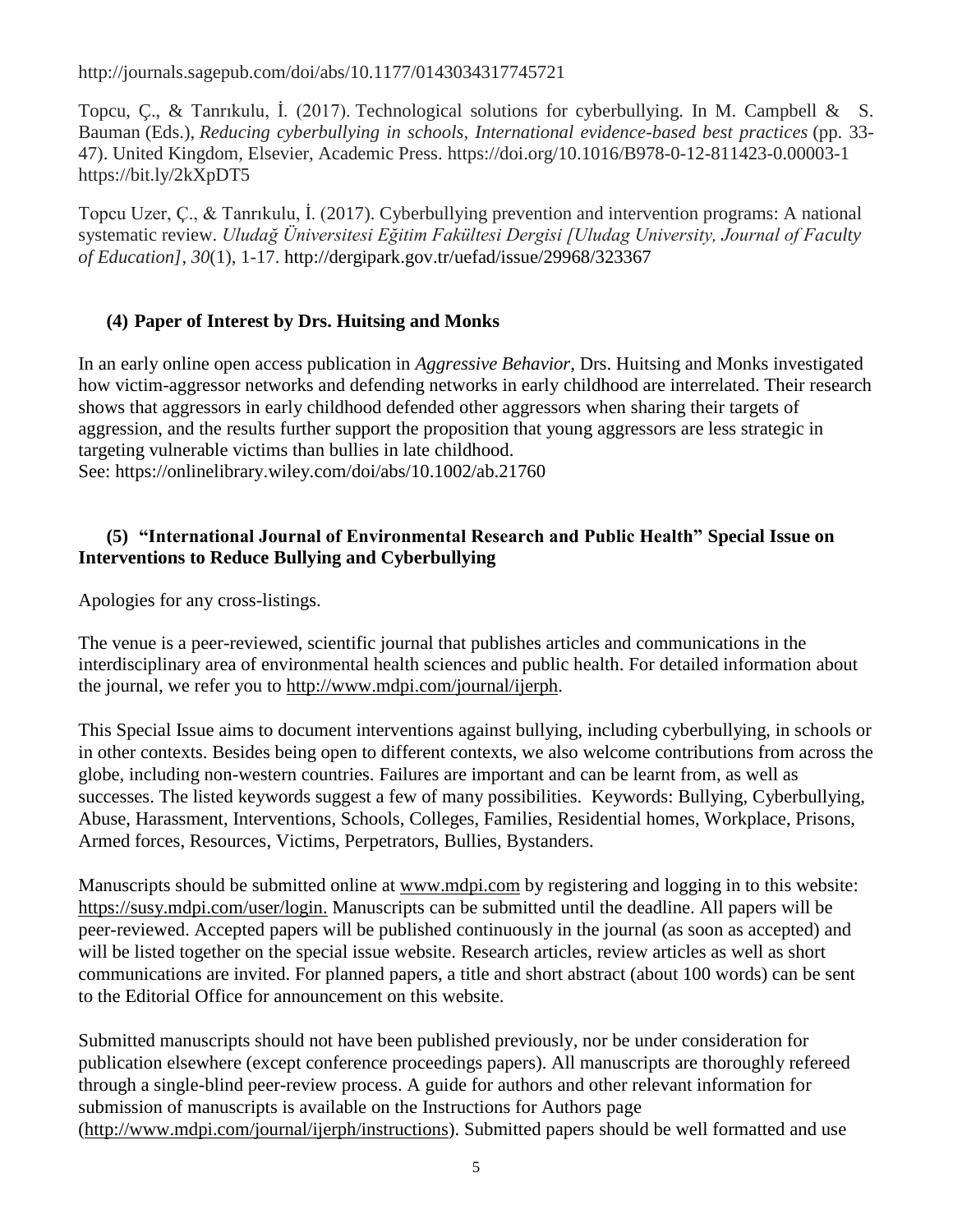http://journals.sagepub.com/doi/abs/10.1177/0143034317745721

Topcu, Ç., & Tanrıkulu, İ. (2017). Technological solutions for cyberbullying. In M. Campbell & S. Bauman (Eds.), *Reducing cyberbullying in schools, International evidence-based best practices* (pp. 33- 47). United Kingdom, Elsevier, Academic Press. https://doi.org/10.1016/B978-0-12-811423-0.00003-1 https://bit.ly/2kXpDT5

Topcu Uzer, Ç., & Tanrıkulu, İ. (2017). Cyberbullying prevention and intervention programs: A national systematic review. *Uludağ Üniversitesi Eğitim Fakültesi Dergisi [Uludag University, Journal of Faculty of Education]*, *30*(1), 1-17. http://dergipark.gov.tr/uefad/issue/29968/323367

# **(4) Paper of Interest by Drs. Huitsing and Monks**

In an early online open access publication in *Aggressive Behavior*, Drs. Huitsing and Monks investigated how victim-aggressor networks and defending networks in early childhood are interrelated. Their research shows that aggressors in early childhood defended other aggressors when sharing their targets of aggression, and the results further support the proposition that young aggressors are less strategic in targeting vulnerable victims than bullies in late childhood. See: https://onlinelibrary.wiley.com/doi/abs/10.1002/ab.21760

# **(5) "International Journal of Environmental Research and Public Health" Special Issue on Interventions to Reduce Bullying and Cyberbullying**

Apologies for any cross-listings.

The venue is a peer-reviewed, scientific journal that publishes articles and communications in the interdisciplinary area of environmental health sciences and public health. For detailed information about the journal, we refer you to [http://www.mdpi.com/journal/ijerph.](http://www.mdpi.com/journal/ijerph)

This Special Issue aims to document interventions against bullying, including cyberbullying, in schools or in other contexts. Besides being open to different contexts, we also welcome contributions from across the globe, including non-western countries. Failures are important and can be learnt from, as well as successes. The listed keywords suggest a few of many possibilities. Keywords: Bullying, Cyberbullying, Abuse, Harassment, Interventions, Schools, Colleges, Families, Residential homes, Workplace, Prisons, Armed forces, Resources, Victims, Perpetrators, Bullies, Bystanders.

Manuscripts should be submitted online at [www.mdpi.com](https://urldefense.proofpoint.com/v2/url?u=http-3A__www.mdpi.com_&d=DwMFAg&c=Cu5g146wZdoqVuKpTNsYHeFX_rg6kWhlkLF8Eft-wwo&r=cXoPjE5bhAYAw7UpUbU1OVNKQBjHq0uZTOrbgqFBDIg&m=810_TsHEn3jbrwALzp9RUWrCD-KRb_YI1ZJOtNmH_Yk&s=XWVwI2RZIjTS-_6guV1vVDEfgObo09h5NGZ3dtJbgao&e=) by registering and logging in to this website: https://susy.mdpi.com/user/login. Manuscripts can be submitted until the deadline. All papers will be peer-reviewed. Accepted papers will be published continuously in the journal (as soon as accepted) and will be listed together on the special issue website. Research articles, review articles as well as short communications are invited. For planned papers, a title and short abstract (about 100 words) can be sent to the Editorial Office for announcement on this website.

Submitted manuscripts should not have been published previously, nor be under consideration for publication elsewhere (except conference proceedings papers). All manuscripts are thoroughly refereed through a single-blind peer-review process. A guide for authors and other relevant information for submission of manuscripts is available on the Instructions for Authors page (http://www.mdpi.com/journal/ijerph/instructions). Submitted papers should be well formatted and use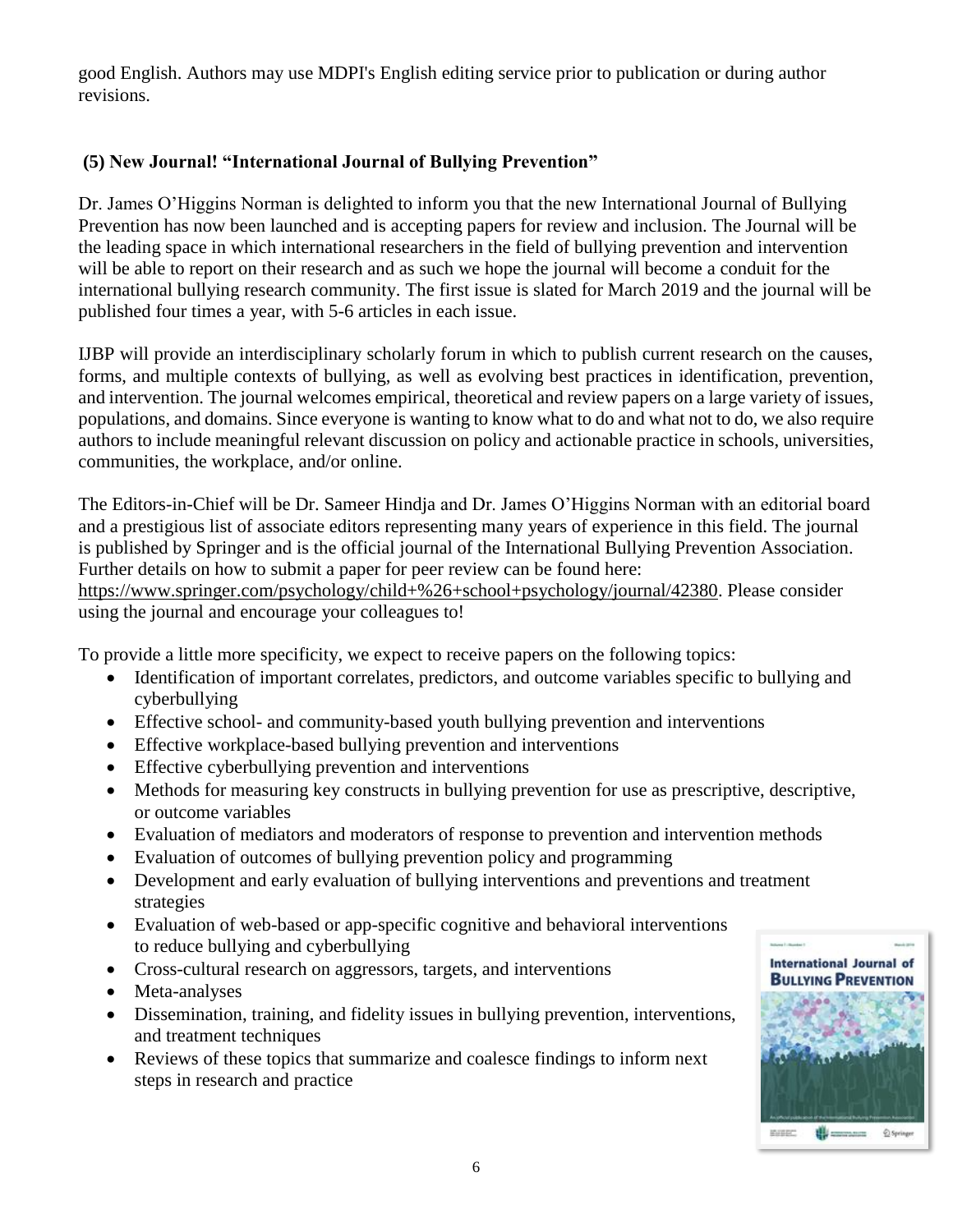good English. Authors may use MDPI's English editing service prior to publication or during author revisions.

# **(5) New Journal! "International Journal of Bullying Prevention"**

Dr. James O'Higgins Norman is delighted to inform you that the new International Journal of Bullying Prevention has now been launched and is accepting papers for review and inclusion. The Journal will be the leading space in which international researchers in the field of bullying prevention and intervention will be able to report on their research and as such we hope the journal will become a conduit for the international bullying research community. The first issue is slated for March 2019 and the journal will be published four times a year, with 5-6 articles in each issue.

IJBP will provide an interdisciplinary scholarly forum in which to publish current research on the causes, forms, and multiple contexts of bullying, as well as evolving best practices in identification, prevention, and intervention. The journal welcomes empirical, theoretical and review papers on a large variety of issues, populations, and domains. Since everyone is wanting to know what to do and what not to do, we also require authors to include meaningful relevant discussion on policy and actionable practice in schools, universities, communities, the workplace, and/or online.

The Editors-in-Chief will be Dr. Sameer Hindja and Dr. James O'Higgins Norman with an editorial board and a prestigious list of associate editors representing many years of experience in this field. The journal is published by Springer and is the official journal of the International Bullying Prevention Association. Further details on how to submit a paper for peer review can be found here:

https://www.springer.com/psychology/child+%26+school+psychology/journal/42380. Please consider using the journal and encourage your colleagues to!

To provide a little more specificity, we expect to receive papers on the following topics:

- Identification of important correlates, predictors, and outcome variables specific to bullying and cyberbullying
- Effective school- and community-based youth bullying prevention and interventions
- Effective workplace-based bullying prevention and interventions
- Effective cyberbullying prevention and interventions
- Methods for measuring key constructs in bullying prevention for use as prescriptive, descriptive, or outcome variables
- Evaluation of mediators and moderators of response to prevention and intervention methods
- Evaluation of outcomes of bullying prevention policy and programming
- Development and early evaluation of bullying interventions and preventions and treatment strategies
- Evaluation of web-based or app-specific cognitive and behavioral interventions to reduce bullying and cyberbullying
- Cross-cultural research on aggressors, targets, and interventions
- Meta-analyses
- Dissemination, training, and fidelity issues in bullying prevention, interventions, and treatment techniques
- Reviews of these topics that summarize and coalesce findings to inform next steps in research and practice